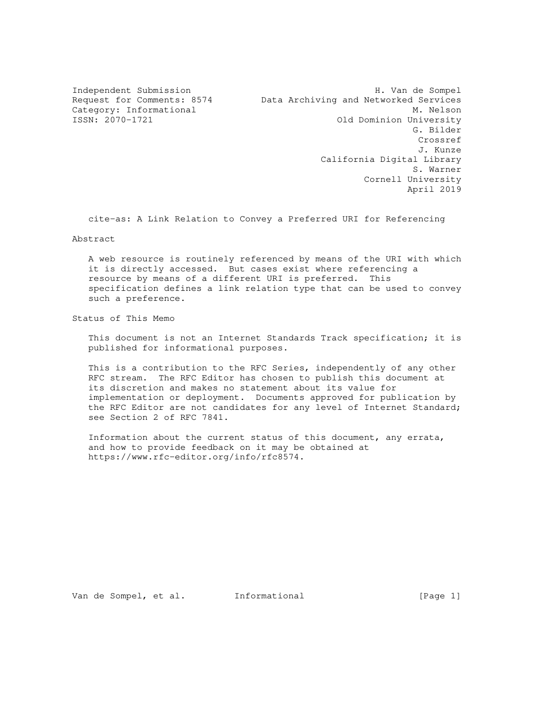Independent Submission **H. Van de Sompel** Request for Comments: 8574 Data Archiving and Networked Services Category: Informational M. Nelson Old Dominion University G. Bilder Crossref J. Kunze California Digital Library S. Warner Cornell University April 2019

cite-as: A Link Relation to Convey a Preferred URI for Referencing

Abstract

 A web resource is routinely referenced by means of the URI with which it is directly accessed. But cases exist where referencing a resource by means of a different URI is preferred. This specification defines a link relation type that can be used to convey such a preference.

Status of This Memo

 This document is not an Internet Standards Track specification; it is published for informational purposes.

 This is a contribution to the RFC Series, independently of any other RFC stream. The RFC Editor has chosen to publish this document at its discretion and makes no statement about its value for implementation or deployment. Documents approved for publication by the RFC Editor are not candidates for any level of Internet Standard; see Section 2 of RFC 7841.

 Information about the current status of this document, any errata, and how to provide feedback on it may be obtained at https://www.rfc-editor.org/info/rfc8574.

Van de Sompel, et al. Informational [Page 1]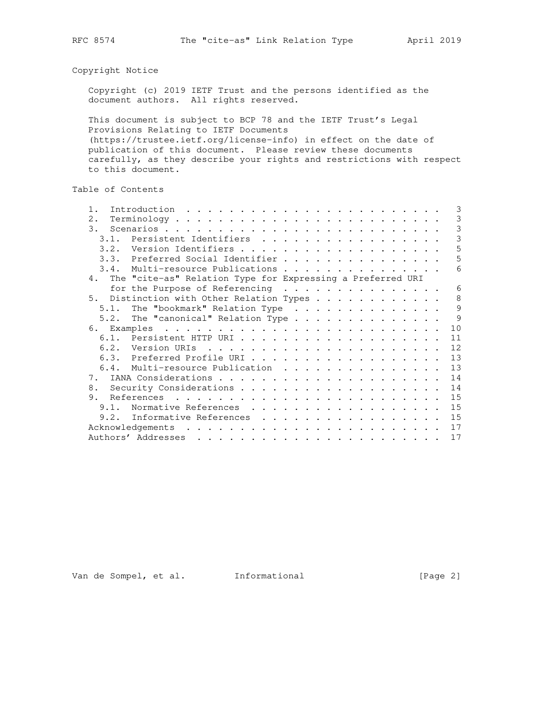# Copyright Notice

 Copyright (c) 2019 IETF Trust and the persons identified as the document authors. All rights reserved.

 This document is subject to BCP 78 and the IETF Trust's Legal Provisions Relating to IETF Documents (https://trustee.ietf.org/license-info) in effect on the date of publication of this document. Please review these documents carefully, as they describe your rights and restrictions with respect to this document.

# Table of Contents

| 3<br>3                                                                                                                                                                                                                               |
|--------------------------------------------------------------------------------------------------------------------------------------------------------------------------------------------------------------------------------------|
|                                                                                                                                                                                                                                      |
|                                                                                                                                                                                                                                      |
| 3                                                                                                                                                                                                                                    |
| 3<br>3.1. Persistent Identifiers                                                                                                                                                                                                     |
| 5<br>3.2. Version Identifiers                                                                                                                                                                                                        |
| 5<br>3.3. Preferred Social Identifier                                                                                                                                                                                                |
| 6<br>3.4. Multi-resource Publications                                                                                                                                                                                                |
|                                                                                                                                                                                                                                      |
|                                                                                                                                                                                                                                      |
| for the Purpose of Referencing<br>6                                                                                                                                                                                                  |
| $\mathcal{B}$<br>5. Distinction with Other Relation Types                                                                                                                                                                            |
| 9<br>The "bookmark" Relation Type                                                                                                                                                                                                    |
| $\mathsf{Q}$<br>The "canonical" Relation Type                                                                                                                                                                                        |
| 10                                                                                                                                                                                                                                   |
| 6.1. Persistent HTTP URI<br>11                                                                                                                                                                                                       |
| 12                                                                                                                                                                                                                                   |
| 13<br>6.3. Preferred Profile URI                                                                                                                                                                                                     |
| 13<br>6.4. Multi-resource Publication                                                                                                                                                                                                |
| 14                                                                                                                                                                                                                                   |
|                                                                                                                                                                                                                                      |
| 14                                                                                                                                                                                                                                   |
| 15                                                                                                                                                                                                                                   |
| 15<br>Normative References                                                                                                                                                                                                           |
| 15<br>Informative References                                                                                                                                                                                                         |
| 17                                                                                                                                                                                                                                   |
| 17<br>and a complete that the complete the complete theory of the complete theory of the complete theory of the complete theory of the complete theory of the complete theory of the complete theory of the complete theory of the c |
|                                                                                                                                                                                                                                      |

Van de Sompel, et al. Informational [Page 2]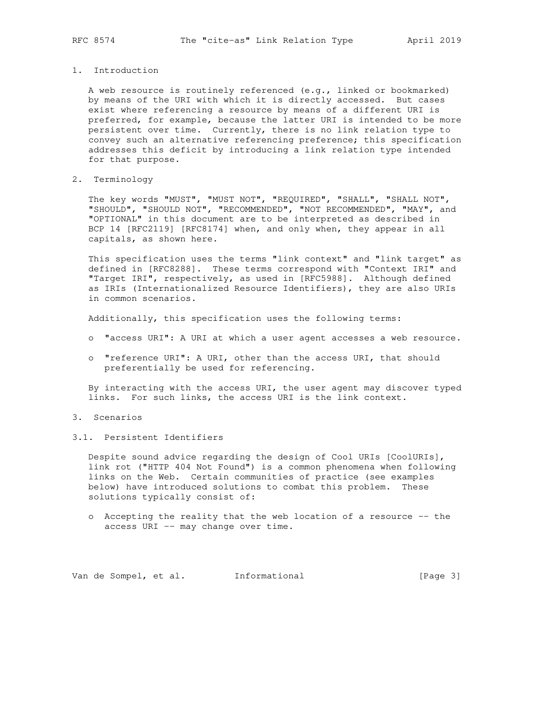# 1. Introduction

 A web resource is routinely referenced (e.g., linked or bookmarked) by means of the URI with which it is directly accessed. But cases exist where referencing a resource by means of a different URI is preferred, for example, because the latter URI is intended to be more persistent over time. Currently, there is no link relation type to convey such an alternative referencing preference; this specification addresses this deficit by introducing a link relation type intended for that purpose.

## 2. Terminology

 The key words "MUST", "MUST NOT", "REQUIRED", "SHALL", "SHALL NOT", "SHOULD", "SHOULD NOT", "RECOMMENDED", "NOT RECOMMENDED", "MAY", and "OPTIONAL" in this document are to be interpreted as described in BCP 14 [RFC2119] [RFC8174] when, and only when, they appear in all capitals, as shown here.

 This specification uses the terms "link context" and "link target" as defined in [RFC8288]. These terms correspond with "Context IRI" and "Target IRI", respectively, as used in [RFC5988]. Although defined as IRIs (Internationalized Resource Identifiers), they are also URIs in common scenarios.

Additionally, this specification uses the following terms:

- o "access URI": A URI at which a user agent accesses a web resource.
- o "reference URI": A URI, other than the access URI, that should preferentially be used for referencing.

 By interacting with the access URI, the user agent may discover typed links. For such links, the access URI is the link context.

- 3. Scenarios
- 3.1. Persistent Identifiers

 Despite sound advice regarding the design of Cool URIs [CoolURIs], link rot ("HTTP 404 Not Found") is a common phenomena when following links on the Web. Certain communities of practice (see examples below) have introduced solutions to combat this problem. These solutions typically consist of:

 o Accepting the reality that the web location of a resource -- the access URI -- may change over time.

Van de Sompel, et al. Informational (Page 3)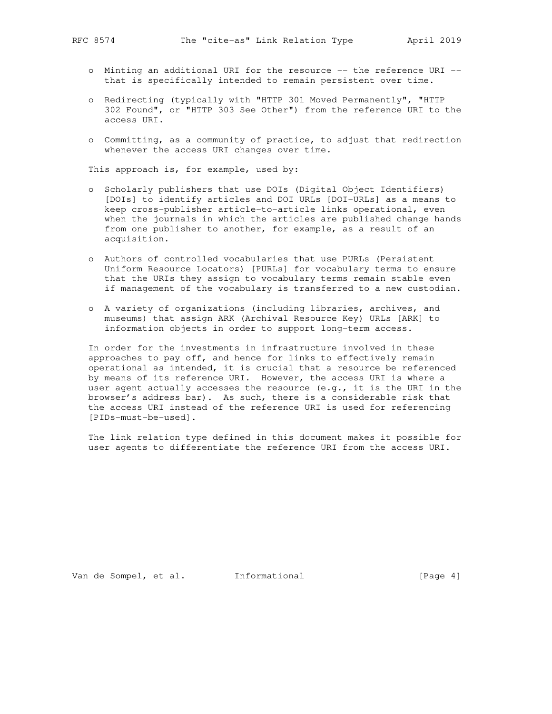- o Minting an additional URI for the resource -- the reference URI that is specifically intended to remain persistent over time.
- o Redirecting (typically with "HTTP 301 Moved Permanently", "HTTP 302 Found", or "HTTP 303 See Other") from the reference URI to the access URI.
- o Committing, as a community of practice, to adjust that redirection whenever the access URI changes over time.

This approach is, for example, used by:

- o Scholarly publishers that use DOIs (Digital Object Identifiers) [DOIs] to identify articles and DOI URLs [DOI-URLs] as a means to keep cross-publisher article-to-article links operational, even when the journals in which the articles are published change hands from one publisher to another, for example, as a result of an acquisition.
- o Authors of controlled vocabularies that use PURLs (Persistent Uniform Resource Locators) [PURLs] for vocabulary terms to ensure that the URIs they assign to vocabulary terms remain stable even if management of the vocabulary is transferred to a new custodian.
- o A variety of organizations (including libraries, archives, and museums) that assign ARK (Archival Resource Key) URLs [ARK] to information objects in order to support long-term access.

 In order for the investments in infrastructure involved in these approaches to pay off, and hence for links to effectively remain operational as intended, it is crucial that a resource be referenced by means of its reference URI. However, the access URI is where a user agent actually accesses the resource (e.g., it is the URI in the browser's address bar). As such, there is a considerable risk that the access URI instead of the reference URI is used for referencing [PIDs-must-be-used].

 The link relation type defined in this document makes it possible for user agents to differentiate the reference URI from the access URI.

Van de Sompel, et al. Informational [Page 4]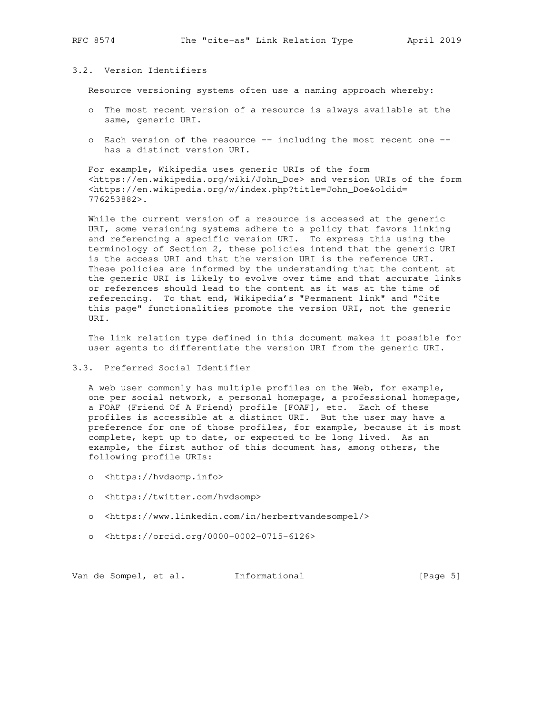# 3.2. Version Identifiers

Resource versioning systems often use a naming approach whereby:

- o The most recent version of a resource is always available at the same, generic URI.
- o Each version of the resource -- including the most recent one has a distinct version URI.

 For example, Wikipedia uses generic URIs of the form <https://en.wikipedia.org/wiki/John\_Doe> and version URIs of the form <https://en.wikipedia.org/w/index.php?title=John\_Doe&oldid= 776253882>.

 While the current version of a resource is accessed at the generic URI, some versioning systems adhere to a policy that favors linking and referencing a specific version URI. To express this using the terminology of Section 2, these policies intend that the generic URI is the access URI and that the version URI is the reference URI. These policies are informed by the understanding that the content at the generic URI is likely to evolve over time and that accurate links or references should lead to the content as it was at the time of referencing. To that end, Wikipedia's "Permanent link" and "Cite this page" functionalities promote the version URI, not the generic URI.

 The link relation type defined in this document makes it possible for user agents to differentiate the version URI from the generic URI.

# 3.3. Preferred Social Identifier

 A web user commonly has multiple profiles on the Web, for example, one per social network, a personal homepage, a professional homepage, a FOAF (Friend Of A Friend) profile [FOAF], etc. Each of these profiles is accessible at a distinct URI. But the user may have a preference for one of those profiles, for example, because it is most complete, kept up to date, or expected to be long lived. As an example, the first author of this document has, among others, the following profile URIs:

- o <https://hvdsomp.info>
- o <https://twitter.com/hvdsomp>
- o <https://www.linkedin.com/in/herbertvandesompel/>
- o <https://orcid.org/0000-0002-0715-6126>

Van de Sompel, et al. Informational (Page 5)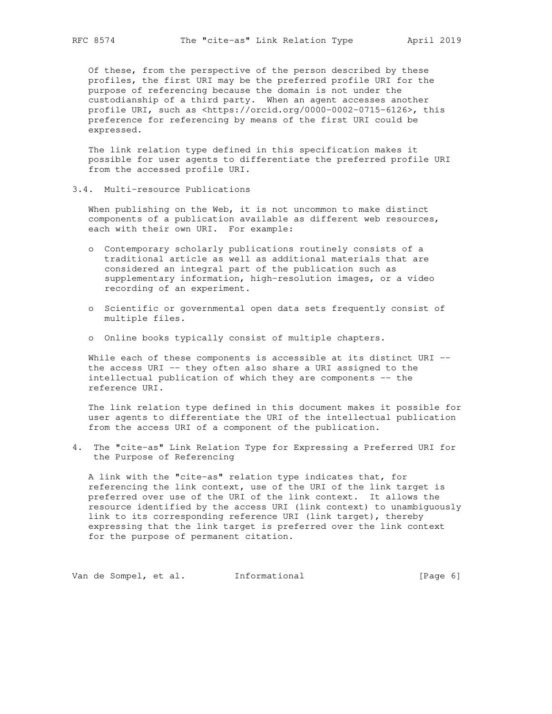Of these, from the perspective of the person described by these profiles, the first URI may be the preferred profile URI for the purpose of referencing because the domain is not under the custodianship of a third party. When an agent accesses another profile URI, such as <https://orcid.org/0000-0002-0715-6126>, this preference for referencing by means of the first URI could be expressed.

 The link relation type defined in this specification makes it possible for user agents to differentiate the preferred profile URI from the accessed profile URI.

3.4. Multi-resource Publications

 When publishing on the Web, it is not uncommon to make distinct components of a publication available as different web resources, each with their own URI. For example:

- o Contemporary scholarly publications routinely consists of a traditional article as well as additional materials that are considered an integral part of the publication such as supplementary information, high-resolution images, or a video recording of an experiment.
- o Scientific or governmental open data sets frequently consist of multiple files.
- o Online books typically consist of multiple chapters.

While each of these components is accessible at its distinct URI - the access URI -- they often also share a URI assigned to the intellectual publication of which they are components -- the reference URI.

 The link relation type defined in this document makes it possible for user agents to differentiate the URI of the intellectual publication from the access URI of a component of the publication.

4. The "cite-as" Link Relation Type for Expressing a Preferred URI for the Purpose of Referencing

 A link with the "cite-as" relation type indicates that, for referencing the link context, use of the URI of the link target is preferred over use of the URI of the link context. It allows the resource identified by the access URI (link context) to unambiguously link to its corresponding reference URI (link target), thereby expressing that the link target is preferred over the link context for the purpose of permanent citation.

Van de Sompel, et al. Informational (Page 6)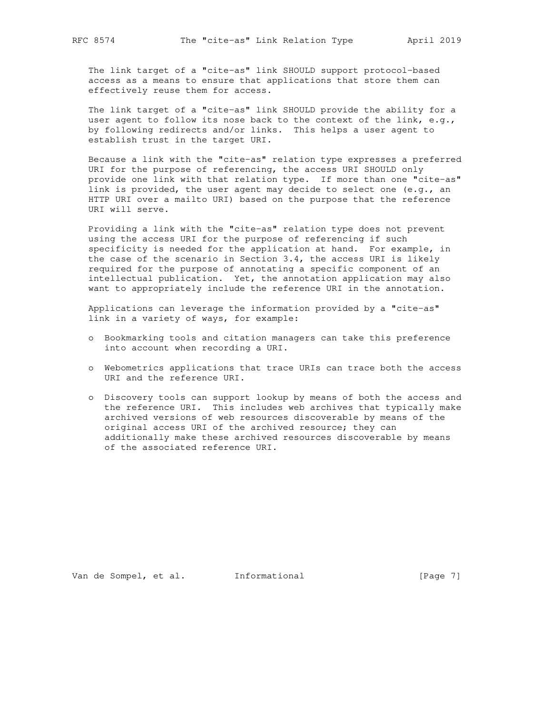The link target of a "cite-as" link SHOULD support protocol-based access as a means to ensure that applications that store them can effectively reuse them for access.

 The link target of a "cite-as" link SHOULD provide the ability for a user agent to follow its nose back to the context of the link, e.g., by following redirects and/or links. This helps a user agent to establish trust in the target URI.

 Because a link with the "cite-as" relation type expresses a preferred URI for the purpose of referencing, the access URI SHOULD only provide one link with that relation type. If more than one "cite-as" link is provided, the user agent may decide to select one (e.g., an HTTP URI over a mailto URI) based on the purpose that the reference URI will serve.

 Providing a link with the "cite-as" relation type does not prevent using the access URI for the purpose of referencing if such specificity is needed for the application at hand. For example, in the case of the scenario in Section 3.4, the access URI is likely required for the purpose of annotating a specific component of an intellectual publication. Yet, the annotation application may also want to appropriately include the reference URI in the annotation.

 Applications can leverage the information provided by a "cite-as" link in a variety of ways, for example:

- o Bookmarking tools and citation managers can take this preference into account when recording a URI.
- o Webometrics applications that trace URIs can trace both the access URI and the reference URI.
- o Discovery tools can support lookup by means of both the access and the reference URI. This includes web archives that typically make archived versions of web resources discoverable by means of the original access URI of the archived resource; they can additionally make these archived resources discoverable by means of the associated reference URI.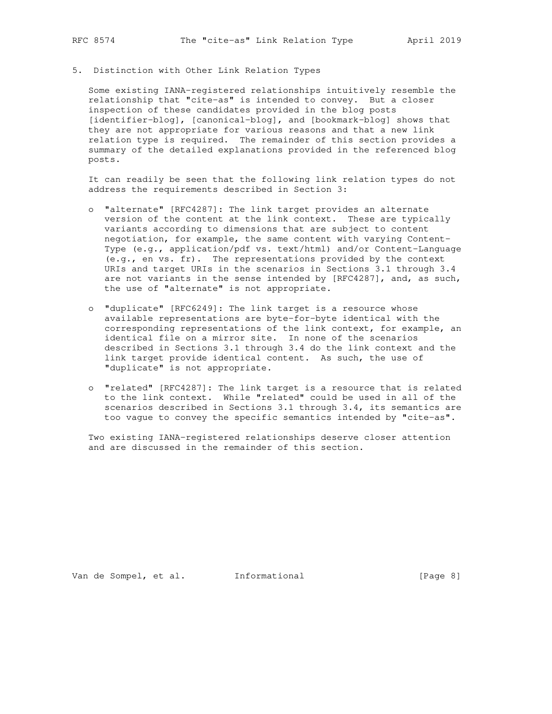# 5. Distinction with Other Link Relation Types

 Some existing IANA-registered relationships intuitively resemble the relationship that "cite-as" is intended to convey. But a closer inspection of these candidates provided in the blog posts [identifier-blog], [canonical-blog], and [bookmark-blog] shows that they are not appropriate for various reasons and that a new link relation type is required. The remainder of this section provides a summary of the detailed explanations provided in the referenced blog posts.

 It can readily be seen that the following link relation types do not address the requirements described in Section 3:

- o "alternate" [RFC4287]: The link target provides an alternate version of the content at the link context. These are typically variants according to dimensions that are subject to content negotiation, for example, the same content with varying Content- Type (e.g., application/pdf vs. text/html) and/or Content-Language (e.g., en vs. fr). The representations provided by the context URIs and target URIs in the scenarios in Sections 3.1 through 3.4 are not variants in the sense intended by [RFC4287], and, as such, the use of "alternate" is not appropriate.
- o "duplicate" [RFC6249]: The link target is a resource whose available representations are byte-for-byte identical with the corresponding representations of the link context, for example, an identical file on a mirror site. In none of the scenarios described in Sections 3.1 through 3.4 do the link context and the link target provide identical content. As such, the use of "duplicate" is not appropriate.
	- o "related" [RFC4287]: The link target is a resource that is related to the link context. While "related" could be used in all of the scenarios described in Sections 3.1 through 3.4, its semantics are too vague to convey the specific semantics intended by "cite-as".

 Two existing IANA-registered relationships deserve closer attention and are discussed in the remainder of this section.

Van de Sompel, et al. Informational [Page 8]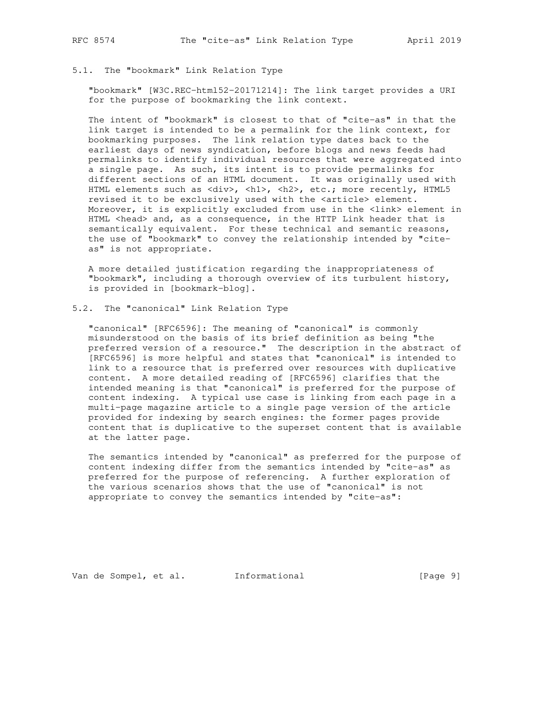### 5.1. The "bookmark" Link Relation Type

 "bookmark" [W3C.REC-html52-20171214]: The link target provides a URI for the purpose of bookmarking the link context.

 The intent of "bookmark" is closest to that of "cite-as" in that the link target is intended to be a permalink for the link context, for bookmarking purposes. The link relation type dates back to the earliest days of news syndication, before blogs and news feeds had permalinks to identify individual resources that were aggregated into a single page. As such, its intent is to provide permalinks for different sections of an HTML document. It was originally used with HTML elements such as <div>, <h1>, <h2>, etc.; more recently, HTML5 revised it to be exclusively used with the <article> element. Moreover, it is explicitly excluded from use in the <link> element in HTML <head> and, as a consequence, in the HTTP Link header that is semantically equivalent. For these technical and semantic reasons, the use of "bookmark" to convey the relationship intended by "cite as" is not appropriate.

 A more detailed justification regarding the inappropriateness of "bookmark", including a thorough overview of its turbulent history, is provided in [bookmark-blog].

# 5.2. The "canonical" Link Relation Type

 "canonical" [RFC6596]: The meaning of "canonical" is commonly misunderstood on the basis of its brief definition as being "the preferred version of a resource." The description in the abstract of [RFC6596] is more helpful and states that "canonical" is intended to link to a resource that is preferred over resources with duplicative content. A more detailed reading of [RFC6596] clarifies that the intended meaning is that "canonical" is preferred for the purpose of content indexing. A typical use case is linking from each page in a multi-page magazine article to a single page version of the article provided for indexing by search engines: the former pages provide content that is duplicative to the superset content that is available at the latter page.

 The semantics intended by "canonical" as preferred for the purpose of content indexing differ from the semantics intended by "cite-as" as preferred for the purpose of referencing. A further exploration of the various scenarios shows that the use of "canonical" is not appropriate to convey the semantics intended by "cite-as":

Van de Sompel, et al. 1nformational (Page 9)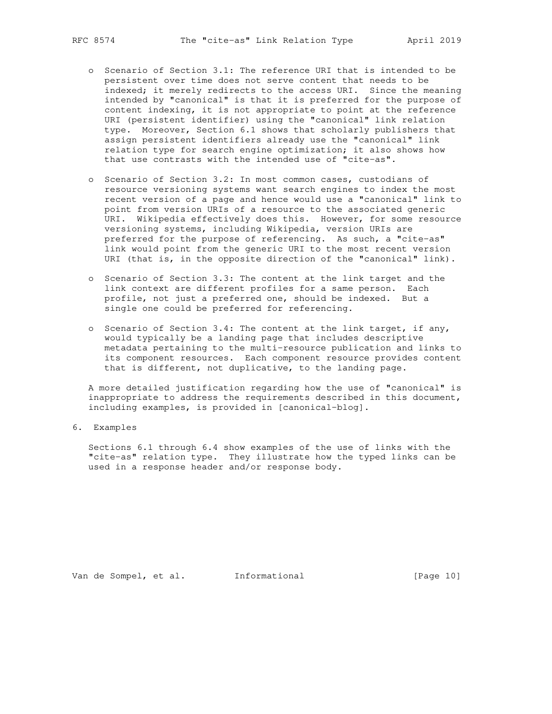- o Scenario of Section 3.1: The reference URI that is intended to be persistent over time does not serve content that needs to be indexed; it merely redirects to the access URI. Since the meaning intended by "canonical" is that it is preferred for the purpose of content indexing, it is not appropriate to point at the reference URI (persistent identifier) using the "canonical" link relation type. Moreover, Section 6.1 shows that scholarly publishers that assign persistent identifiers already use the "canonical" link relation type for search engine optimization; it also shows how that use contrasts with the intended use of "cite-as".
- o Scenario of Section 3.2: In most common cases, custodians of resource versioning systems want search engines to index the most recent version of a page and hence would use a "canonical" link to point from version URIs of a resource to the associated generic URI. Wikipedia effectively does this. However, for some resource versioning systems, including Wikipedia, version URIs are preferred for the purpose of referencing. As such, a "cite-as" link would point from the generic URI to the most recent version URI (that is, in the opposite direction of the "canonical" link).
- o Scenario of Section 3.3: The content at the link target and the link context are different profiles for a same person. Each profile, not just a preferred one, should be indexed. But a single one could be preferred for referencing.
- o Scenario of Section 3.4: The content at the link target, if any, would typically be a landing page that includes descriptive metadata pertaining to the multi-resource publication and links to its component resources. Each component resource provides content that is different, not duplicative, to the landing page.

 A more detailed justification regarding how the use of "canonical" is inappropriate to address the requirements described in this document, including examples, is provided in [canonical-blog].

6. Examples

 Sections 6.1 through 6.4 show examples of the use of links with the "cite-as" relation type. They illustrate how the typed links can be used in a response header and/or response body.

Van de Sompel, et al. Informational [Page 10]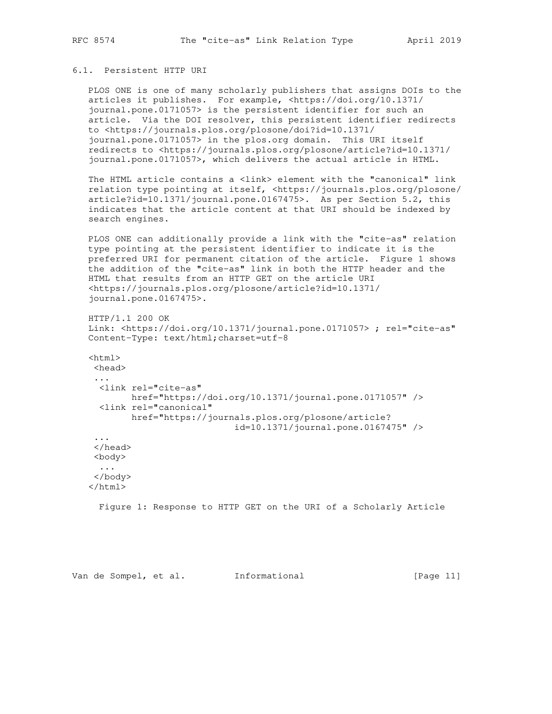# 6.1. Persistent HTTP URI

 PLOS ONE is one of many scholarly publishers that assigns DOIs to the articles it publishes. For example, <https://doi.org/10.1371/ journal.pone.0171057> is the persistent identifier for such an article. Via the DOI resolver, this persistent identifier redirects to <https://journals.plos.org/plosone/doi?id=10.1371/ journal.pone.0171057> in the plos.org domain. This URI itself redirects to <https://journals.plos.org/plosone/article?id=10.1371/ journal.pone.0171057>, which delivers the actual article in HTML.

The HTML article contains a <link> element with the "canonical" link relation type pointing at itself, <https://journals.plos.org/plosone/ article?id=10.1371/journal.pone.0167475>. As per Section 5.2, this indicates that the article content at that URI should be indexed by search engines.

 PLOS ONE can additionally provide a link with the "cite-as" relation type pointing at the persistent identifier to indicate it is the preferred URI for permanent citation of the article. Figure 1 shows the addition of the "cite-as" link in both the HTTP header and the HTML that results from an HTTP GET on the article URI <https://journals.plos.org/plosone/article?id=10.1371/ journal.pone.0167475>.

```
 HTTP/1.1 200 OK
```
 Link: <https://doi.org/10.1371/journal.pone.0171057> ; rel="cite-as" Content-Type: text/html;charset=utf-8

# $<$ html $>$ <head>

 ... <link rel="cite-as" href="https://doi.org/10.1371/journal.pone.0171057" /> <link rel="canonical" href="https://journals.plos.org/plosone/article? id=10.1371/journal.pone.0167475" /> ... </head>

 <body> ... </body>

</html>

Figure 1: Response to HTTP GET on the URI of a Scholarly Article

Van de Sompel, et al. Informational [Page 11]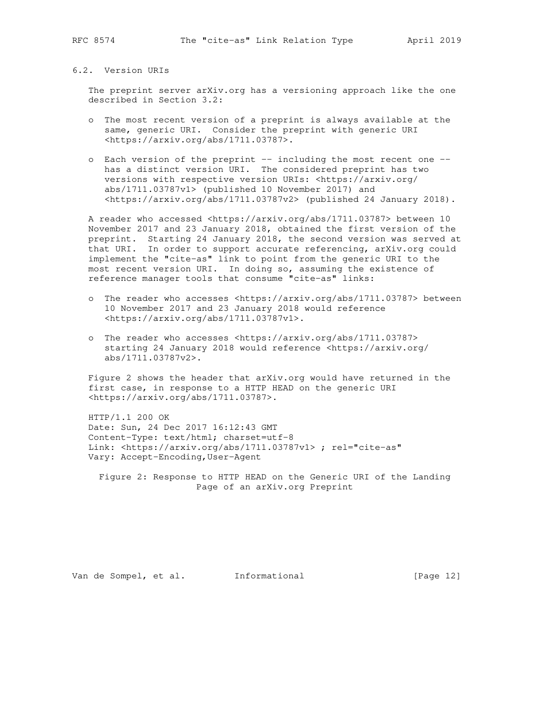### 6.2. Version URIs

 The preprint server arXiv.org has a versioning approach like the one described in Section 3.2:

- o The most recent version of a preprint is always available at the same, generic URI. Consider the preprint with generic URI <https://arxiv.org/abs/1711.03787>.
- o Each version of the preprint -- including the most recent one has a distinct version URI. The considered preprint has two versions with respective version URIs: <https://arxiv.org/ abs/1711.03787v1> (published 10 November 2017) and <https://arxiv.org/abs/1711.03787v2> (published 24 January 2018).

 A reader who accessed <https://arxiv.org/abs/1711.03787> between 10 November 2017 and 23 January 2018, obtained the first version of the preprint. Starting 24 January 2018, the second version was served at that URI. In order to support accurate referencing, arXiv.org could implement the "cite-as" link to point from the generic URI to the most recent version URI. In doing so, assuming the existence of reference manager tools that consume "cite-as" links:

- o The reader who accesses <https://arxiv.org/abs/1711.03787> between 10 November 2017 and 23 January 2018 would reference <https://arxiv.org/abs/1711.03787v1>.
- o The reader who accesses <https://arxiv.org/abs/1711.03787> starting 24 January 2018 would reference <https://arxiv.org/ abs/1711.03787v2>.

 Figure 2 shows the header that arXiv.org would have returned in the first case, in response to a HTTP HEAD on the generic URI <https://arxiv.org/abs/1711.03787>.

 HTTP/1.1 200 OK Date: Sun, 24 Dec 2017 16:12:43 GMT Content-Type: text/html; charset=utf-8 Link: <https://arxiv.org/abs/1711.03787v1> ; rel="cite-as" Vary: Accept-Encoding,User-Agent

 Figure 2: Response to HTTP HEAD on the Generic URI of the Landing Page of an arXiv.org Preprint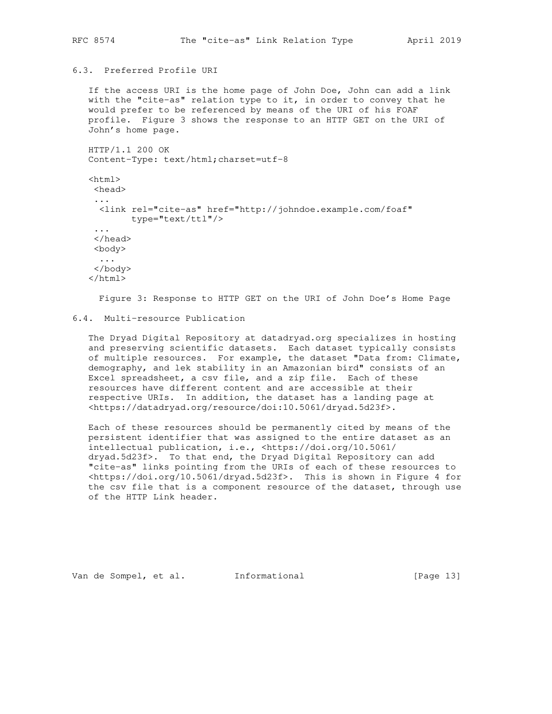# 6.3. Preferred Profile URI

 If the access URI is the home page of John Doe, John can add a link with the "cite-as" relation type to it, in order to convey that he would prefer to be referenced by means of the URI of his FOAF profile. Figure 3 shows the response to an HTTP GET on the URI of John's home page.

```
 HTTP/1.1 200 OK
 Content-Type: text/html;charset=utf-8
<html> <head>
  ...
   <link rel="cite-as" href="http://johndoe.example.com/foaf"
        type="text/ttl"/>
  ...
  </head>
  <body>
  ...
  </body>
 </html>
```
Figure 3: Response to HTTP GET on the URI of John Doe's Home Page

## 6.4. Multi-resource Publication

 The Dryad Digital Repository at datadryad.org specializes in hosting and preserving scientific datasets. Each dataset typically consists of multiple resources. For example, the dataset "Data from: Climate, demography, and lek stability in an Amazonian bird" consists of an Excel spreadsheet, a csv file, and a zip file. Each of these resources have different content and are accessible at their respective URIs. In addition, the dataset has a landing page at <https://datadryad.org/resource/doi:10.5061/dryad.5d23f>.

 Each of these resources should be permanently cited by means of the persistent identifier that was assigned to the entire dataset as an intellectual publication, i.e., <https://doi.org/10.5061/ dryad.5d23f>. To that end, the Dryad Digital Repository can add "cite-as" links pointing from the URIs of each of these resources to <https://doi.org/10.5061/dryad.5d23f>. This is shown in Figure 4 for the csv file that is a component resource of the dataset, through use of the HTTP Link header.

Van de Sompel, et al. Informational [Page 13]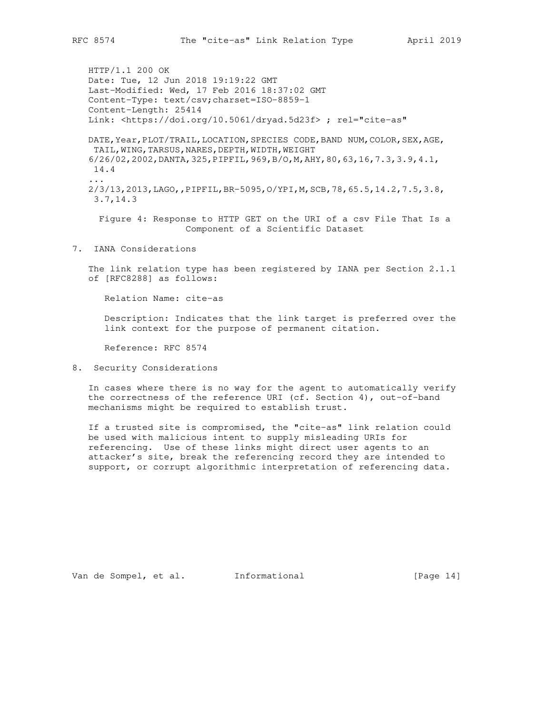HTTP/1.1 200 OK Date: Tue, 12 Jun 2018 19:19:22 GMT Last-Modified: Wed, 17 Feb 2016 18:37:02 GMT Content-Type: text/csv;charset=ISO-8859-1 Content-Length: 25414 Link: <https://doi.org/10.5061/dryad.5d23f> ; rel="cite-as" DATE,Year,PLOT/TRAIL,LOCATION,SPECIES CODE,BAND NUM,COLOR,SEX,AGE, TAIL, WING, TARSUS, NARES, DEPTH, WIDTH, WEIGHT 6/26/02,2002,DANTA,325,PIPFIL,969,B/O,M,AHY,80,63,16,7.3,3.9,4.1, 14.4 ... 2/3/13,2013,LAGO,,PIPFIL,BR-5095,O/YPI,M,SCB,78,65.5,14.2,7.5,3.8, 3.7,14.3

 Figure 4: Response to HTTP GET on the URI of a csv File That Is a Component of a Scientific Dataset

7. IANA Considerations

 The link relation type has been registered by IANA per Section 2.1.1 of [RFC8288] as follows:

Relation Name: cite-as

 Description: Indicates that the link target is preferred over the link context for the purpose of permanent citation.

Reference: RFC 8574

8. Security Considerations

 In cases where there is no way for the agent to automatically verify the correctness of the reference URI (cf. Section 4), out-of-band mechanisms might be required to establish trust.

 If a trusted site is compromised, the "cite-as" link relation could be used with malicious intent to supply misleading URIs for referencing. Use of these links might direct user agents to an attacker's site, break the referencing record they are intended to support, or corrupt algorithmic interpretation of referencing data.

Van de Sompel, et al. Informational [Page 14]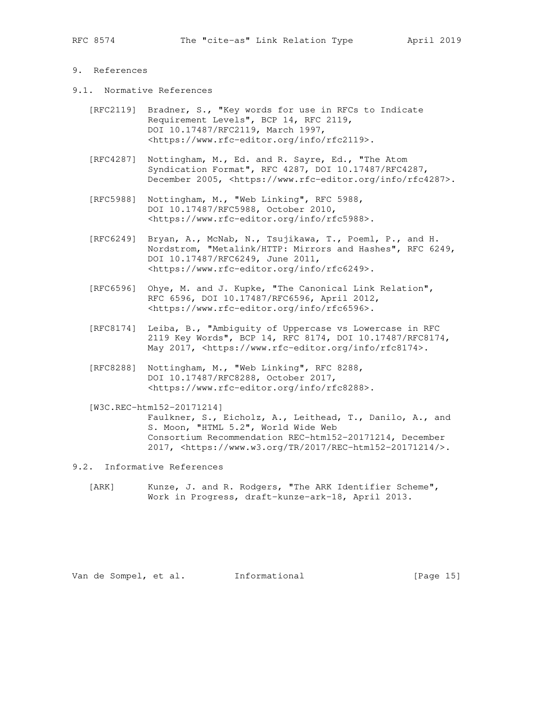# 9. References

- 9.1. Normative References
	- [RFC2119] Bradner, S., "Key words for use in RFCs to Indicate Requirement Levels", BCP 14, RFC 2119, DOI 10.17487/RFC2119, March 1997, <https://www.rfc-editor.org/info/rfc2119>.
	- [RFC4287] Nottingham, M., Ed. and R. Sayre, Ed., "The Atom Syndication Format", RFC 4287, DOI 10.17487/RFC4287, December 2005, <https://www.rfc-editor.org/info/rfc4287>.
	- [RFC5988] Nottingham, M., "Web Linking", RFC 5988, DOI 10.17487/RFC5988, October 2010, <https://www.rfc-editor.org/info/rfc5988>.
	- [RFC6249] Bryan, A., McNab, N., Tsujikawa, T., Poeml, P., and H. Nordstrom, "Metalink/HTTP: Mirrors and Hashes", RFC 6249, DOI 10.17487/RFC6249, June 2011, <https://www.rfc-editor.org/info/rfc6249>.
	- [RFC6596] Ohye, M. and J. Kupke, "The Canonical Link Relation", RFC 6596, DOI 10.17487/RFC6596, April 2012, <https://www.rfc-editor.org/info/rfc6596>.
	- [RFC8174] Leiba, B., "Ambiguity of Uppercase vs Lowercase in RFC 2119 Key Words", BCP 14, RFC 8174, DOI 10.17487/RFC8174, May 2017, <https://www.rfc-editor.org/info/rfc8174>.
	- [RFC8288] Nottingham, M., "Web Linking", RFC 8288, DOI 10.17487/RFC8288, October 2017, <https://www.rfc-editor.org/info/rfc8288>.

 [W3C.REC-html52-20171214] Faulkner, S., Eicholz, A., Leithead, T., Danilo, A., and S. Moon, "HTML 5.2", World Wide Web Consortium Recommendation REC-html52-20171214, December 2017, <https://www.w3.org/TR/2017/REC-html52-20171214/>.

- 9.2. Informative References
	- [ARK] Kunze, J. and R. Rodgers, "The ARK Identifier Scheme", Work in Progress, draft-kunze-ark-18, April 2013.

Van de Sompel, et al. Informational [Page 15]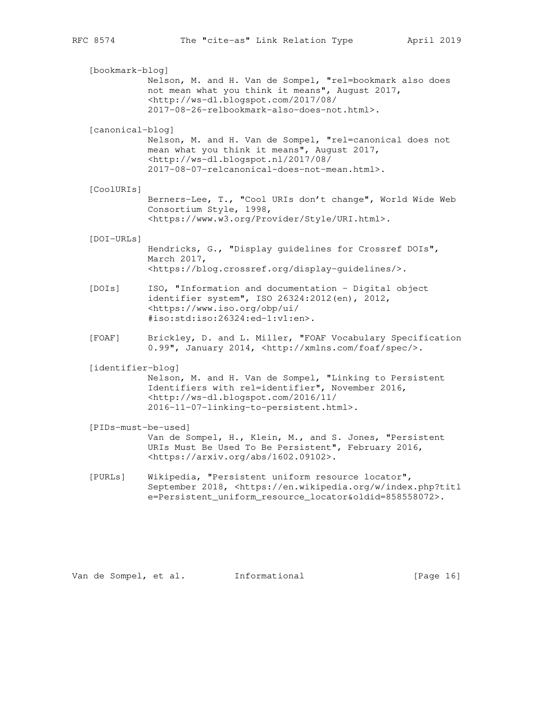[bookmark-blog] Nelson, M. and H. Van de Sompel, "rel=bookmark also does not mean what you think it means", August 2017, <http://ws-dl.blogspot.com/2017/08/ 2017-08-26-relbookmark-also-does-not.html>. [canonical-blog] Nelson, M. and H. Van de Sompel, "rel=canonical does not mean what you think it means", August 2017, <http://ws-dl.blogspot.nl/2017/08/ 2017-08-07-relcanonical-does-not-mean.html>. [CoolURIs] Berners-Lee, T., "Cool URIs don't change", World Wide Web Consortium Style, 1998, <https://www.w3.org/Provider/Style/URI.html>. [DOI-URLs] Hendricks, G., "Display guidelines for Crossref DOIs", March 2017, <https://blog.crossref.org/display-guidelines/>. [DOIs] ISO, "Information and documentation - Digital object identifier system", ISO 26324:2012(en), 2012, <https://www.iso.org/obp/ui/ #iso:std:iso:26324:ed-1:v1:en>. [FOAF] Brickley, D. and L. Miller, "FOAF Vocabulary Specification 0.99", January 2014, <http://xmlns.com/foaf/spec/>. [identifier-blog] Nelson, M. and H. Van de Sompel, "Linking to Persistent Identifiers with rel=identifier", November 2016, <http://ws-dl.blogspot.com/2016/11/ 2016-11-07-linking-to-persistent.html>. [PIDs-must-be-used] Van de Sompel, H., Klein, M., and S. Jones, "Persistent URIs Must Be Used To Be Persistent", February 2016, <https://arxiv.org/abs/1602.09102>. [PURLs] Wikipedia, "Persistent uniform resource locator", September 2018, <https://en.wikipedia.org/w/index.php?titl e=Persistent\_uniform\_resource\_locator&oldid=858558072>.

Van de Sompel, et al. Informational [Page 16]